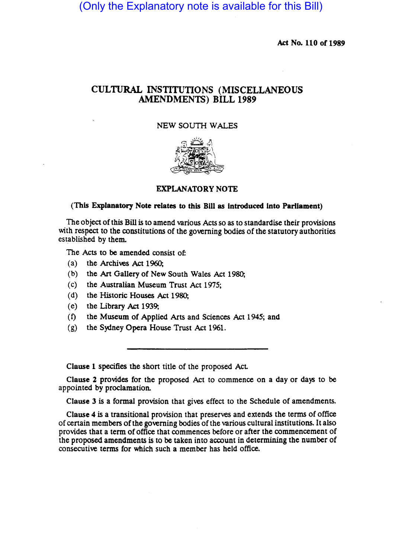(Only the Explanatory note is available for this Bill)

Act No. 110 of 1989

# CULTURAL INSTITUTIONS (MISCELLANEOUS AMENDMENTS) BILL 1989

#### NEW SOUTH WALES



#### EXPLANATORY NOTE

#### (This Explanatory Note relates to this Bill as Introduced Into Parliament)

The object of this Bill is to amend various Acts so as to standardise their provisions with respect to the constitutions of the governing bodies of the statutory authorities established by them.

The Acts to be amended consist of:

- (a) the Archives Act 1960;
- (b) the Art Gallery of New South Wales Act 1980;
- (c) the Australian Museum Trust Act 1975;
- (d) the Historic Houses Act 1980;
- ( e) the Library Act 1939;
- (f) the Museum of Applied Arts and Sciences Act 1945; and
- (g) the Sydney Opera House Trust Act 1961.

Clause 1 specifies the short title of the proposed Act.

Clause 2 provides for the proposed Act to commence on a day or days to be appointed by proclamation.

Clause 3 is a formal provision that gives effect to the Schedule of amendments.

Clause 4 is a transitional provision that preserves and extends the terms of office of cenain members ofthe governing bodies of the various cultural institutions. It also provides that a term of office that commences before or after the commencement of the proposed amendments is to be taken into account in determining the number of consecutive terms for which such a member has held office.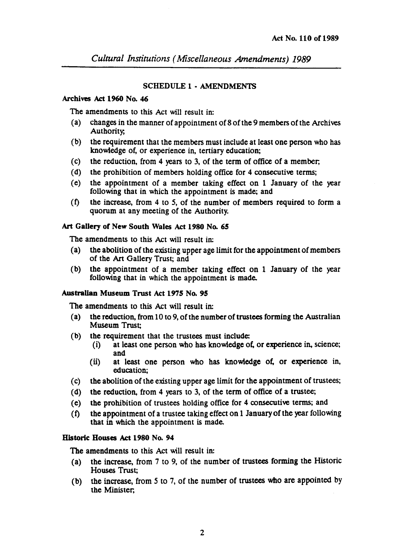*Cultural Institutions (Miscellaneous Amendments) 1989* 

## SCHEDULE 1 • AMENDMENTS

#### Archives Act 1960 No. 46

The amendments to this Act will result in:

- (a) changes in the manner of appointment of 8 of the 9 members of the Archives Authority,
- (b) the requirement that the members must include at least one person who has knowledge of, or experience in, tertiary education;
- (c) the reduction, from 4 years to 3, of the term of office of a member;
- (d) the prohibition of members holding office for 4 consecutive terms;
- (e) the appointment of a member taking effect on 1 January of the year following that in which the appointment is made; and
- (f) the increase, from 4 to 5, of the number of members required to form a quorum at any meeting of the Authority.

## Art Gallery of New South Wales Act 1980 No. *6S*

The amendments to this Act will result in:

- (a) the abolition of the existing upper age limit for the appointment of members of the Art Gallery Trust; and
- (b) the appointment of a member taking effect on 1 January of the year following that in which the appointment is made.

## Australian Museum Trust Act 1975 No. 95

The amendments to this Act will result in:

- (a) the reduction, from 10 to 9, of the number of trustees fonning the Australian Museum Trust;
- (b) the requirement that the trustees must include:
	- (i) at least one person who has knowledge of, or experience in, science; and
	- (ii) at least one person who has knowledge of, or experience in, education;
- (c) the abolition of the existing upper age limit for the appointment of trustees;
- (d) the reduction, from 4 years to 3, of the term of office of a trustee;
- (e) the prohibition of trustees holding office for 4 consecutive terms; and
- $(f)$  the appointment of a trustee taking effect on 1 January of the year following that in which the appointment is made.

## Historic Houses Act 1980 No. 94

The amendments to this Act will result in:

- (a) the increase, from 7 to 9, of the number of trustees forming the Historic Houses Trust;
- (b) the increase, from 5 to 7, of the number of trustees who are appointed by the Minister;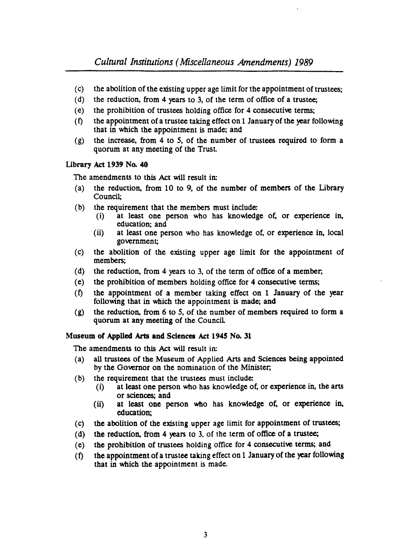- (c) the abolition of the existing upper age limit for the appointment of trustees;
- (d) the reduction, from 4 years to 3, of the term of office of a trustee;
- (e) the prohibition of trustees holding office for 4 consecutive terms;
- (t) the appointment of a trustee taking effect on 1 January of the year following that in which the appointment is made; and
- (g) the increase, from 4 to *5,* of the number of trustees required to form a quorum at any meeting of the Trust

#### Library Act 1939 No. 40

The amendments to this Act will result in:

- (a) the reduction, from 10 to 9, of the number of members of the Library Council;
- (b) the requirement that the members must include:
	- (i) at least one person who has knowledge of, or experience in, education; and
	- (ii) at least one person who has knowledge of, or experience in, local government;
- (c) the abolition of the existing upper age limit for the appointment of members;
- (d) the reduction, from 4 years to 3, of the term of office of a member;
- (e) the prohibition of members holding office for 4 consecutive terms;
- $(f)$  the appointment of a member taking effect on 1 January of the year following that in which the appointment is made; and
- (g) the reduction, from 6 to *5,* of the number of members required to form a quorum at any meeting of the Council

## Museum of Applied Arts and Sciences Act 1945 No. 31

The amendments to this Act will result in:

- (a) all trustees of the Museum of Applied Arts and Sciences being appointed by the Governor on the nomination of the Minister;
- (b) the requirement that the trustees must include:
	- (i) at least one person who has knowledge of, or experience in, the arts or sciences; and
	- (ii) at least one person who has knowledge of, or experience in, education;
- (c) the abolition of the existing upper age limit for appointment of trustees;
- (d) the reduction, from 4 years to 3, of the term of office of a trustee;
- (e) the prohibition of trustees holding office for 4 consecutive terms; and
- $(f)$  the appointment of a trustee taking effect on 1 January of the year following that in which the appointment is made.